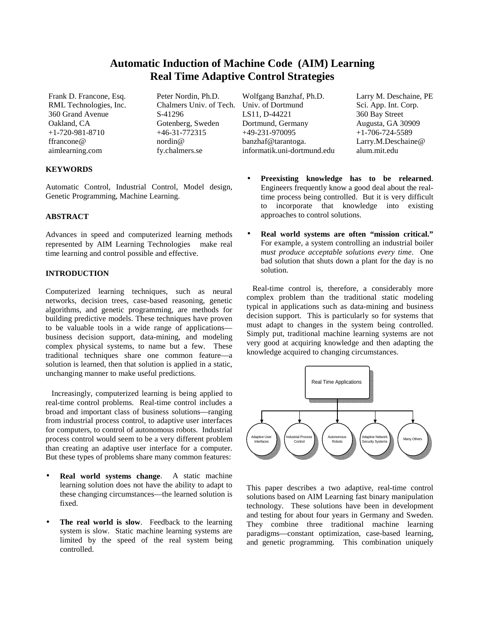# **Automatic Induction of Machine Code (AIM) Learning Real Time Adaptive Control Strategies**

360 Grand Avenue S-41296

# **KEYWORDS**

Automatic Control, Industrial Control, Model design, Genetic Programming, Machine Learning.

# **ABSTRACT**

Advances in speed and computerized learning methods represented by AIM Learning Technologies<sup>™</sup> make real time learning and control possible and effective.

# **INTRODUCTION**

Computerized learning techniques, such as neural networks, decision trees, case-based reasoning, genetic algorithms, and genetic programming, are methods for building predictive models. These techniques have proven to be valuable tools in a wide range of applications business decision support, data-mining, and modeling complex physical systems, to name but a few. These traditional techniques share one common feature—a solution is learned, then that solution is applied in a static, unchanging manner to make useful predictions.

 Increasingly, computerized learning is being applied to real-time control problems. Real-time control includes a broad and important class of business solutions—ranging from industrial process control, to adaptive user interfaces for computers, to control of autonomous robots. Industrial process control would seem to be a very different problem than creating an adaptive user interface for a computer. But these types of problems share many common features:

- **Real world systems change.** A static machine learning solution does not have the ability to adapt to these changing circumstances—the learned solution is fixed.
- The real world is slow. Feedback to the learning system is slow. Static machine learning systems are limited by the speed of the real system being controlled.

Frank D. Francone, Esq. Peter Nordin, Ph.D. Wolfgang Banzhaf, Ph.D. Larry M. Deschaine, PE RML Technologies, Inc. Chalmers Univ. of Tech. Univ. of Dortmund Sci. App. Int. Corp.<br>360 Grand Avenue S-41296 LS11, D-44221 360 Bay Street Oakland, CA Gotenberg, Sweden Dortmund, Germany Augusta, GA 30909 +1-720-981-8710 +46-31-772315 +49-231-970095 +1-706-724-5589 ffrancone@ nordin@ banzhaf@tarantoga. Larry.M.Deschaine@ aimlearning.com fy.chalmers.se informatik.uni-dortmund.edu alum.mit.edu

- **Preexisting knowledge has to be relearned**. Engineers frequently know a good deal about the realtime process being controlled. But it is very difficult to incorporate that knowledge into existing approaches to control solutions.
- **Real world systems are often "mission critical."** For example, a system controlling an industrial boiler *must produce acceptable solutions every time*. One bad solution that shuts down a plant for the day is no solution.

 Real-time control is, therefore, a considerably more complex problem than the traditional static modeling typical in applications such as data-mining and business decision support. This is particularly so for systems that must adapt to changes in the system being controlled. Simply put, traditional machine learning systems are not very good at acquiring knowledge and then adapting the knowledge acquired to changing circumstances.



This paper describes a two adaptive, real-time control solutions based on AIM Learning fast binary manipulation technology. These solutions have been in development and testing for about four years in Germany and Sweden. They combine three traditional machine learning paradigms—constant optimization, case-based learning, and genetic programming. This combination uniquely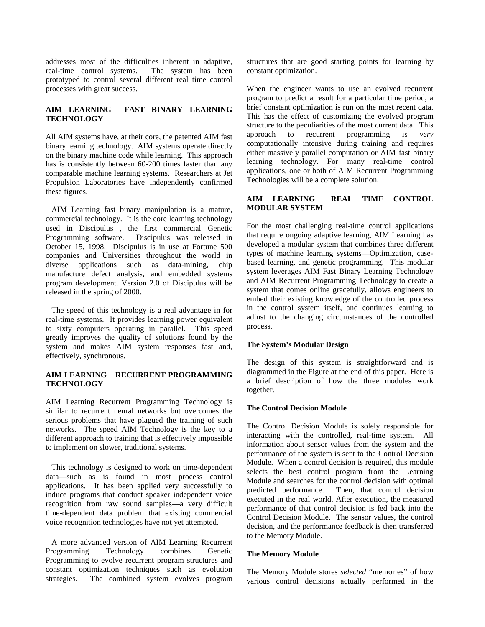addresses most of the difficulties inherent in adaptive, real-time control systems. The system has been prototyped to control several different real time control processes with great success.

# **AIM LEARNING FAST BINARY LEARNING TECHNOLOGY**

All AIM systems have, at their core, the patented AIM fast binary learning technology. AIM systems operate directly on the binary machine code while learning. This approach has is consistently between 60-200 times faster than any comparable machine learning systems. Researchers at Jet Propulsion Laboratories have independently confirmed these figures.

 AIM Learning fast binary manipulation is a mature, commercial technology. It is the core learning technology used in Discipulus<sup>™</sup>, the first commercial Genetic Programming software. Discipulus was released in October 15, 1998. Discipulus is in use at Fortune 500 companies and Universities throughout the world in diverse applications such as data-mining, chip manufacture defect analysis, and embedded systems program development. Version 2.0 of Discipulus will be released in the spring of 2000.

 The speed of this technology is a real advantage in for real-time systems. It provides learning power equivalent to sixty computers operating in parallel. This speed greatly improves the quality of solutions found by the system and makes AIM system responses fast and, effectively, synchronous.

## **AIM LEARNING™ RECURRENT PROGRAMMING TECHNOLOGY**

AIM Learning Recurrent Programming Technology is similar to recurrent neural networks but overcomes the serious problems that have plagued the training of such networks. The speed AIM Technology is the key to a different approach to training that is effectively impossible to implement on slower, traditional systems.

 This technology is designed to work on time-dependent data—such as is found in most process control applications. It has been applied very successfully to induce programs that conduct speaker independent voice recognition from raw sound samples—a very difficult time-dependent data problem that existing commercial voice recognition technologies have not yet attempted.

 A more advanced version of AIM Learning Recurrent Programming Technology combines Genetic Programming to evolve recurrent program structures and constant optimization techniques such as evolution strategies. The combined system evolves program

structures that are good starting points for learning by constant optimization.

When the engineer wants to use an evolved recurrent program to predict a result for a particular time period, a brief constant optimization is run on the most recent data. This has the effect of customizing the evolved program structure to the peculiarities of the most current data. This approach to recurrent programming is *very* computationally intensive during training and requires either massively parallel computation or AIM fast binary learning technology. For many real-time control applications, one or both of AIM Recurrent Programming Technologies will be a complete solution.

# **AIM LEARNING REAL TIME CONTROL MODULAR SYSTEM**

For the most challenging real-time control applications that require ongoing adaptive learning, AIM Learning has developed a modular system that combines three different types of machine learning systems—Optimization, casebased learning, and genetic programming. This modular system leverages AIM Fast Binary Learning Technology and AIM Recurrent Programming Technology to create a system that comes online gracefully, allows engineers to embed their existing knowledge of the controlled process in the control system itself, and continues learning to adjust to the changing circumstances of the controlled process.

## **The System's Modular Design**

The design of this system is straightforward and is diagrammed in the Figure at the end of this paper. Here is a brief description of how the three modules work together.

## **The Control Decision Module**

The Control Decision Module is solely responsible for interacting with the controlled, real-time system. All information about sensor values from the system and the performance of the system is sent to the Control Decision Module. When a control decision is required, this module selects the best control program from the Learning Module and searches for the control decision with optimal predicted performance. Then, that control decision executed in the real world. After execution, the measured performance of that control decision is fed back into the Control Decision Module. The sensor values, the control decision, and the performance feedback is then transferred to the Memory Module.

#### **The Memory Module**

The Memory Module stores *selected* "memories" of how various control decisions actually performed in the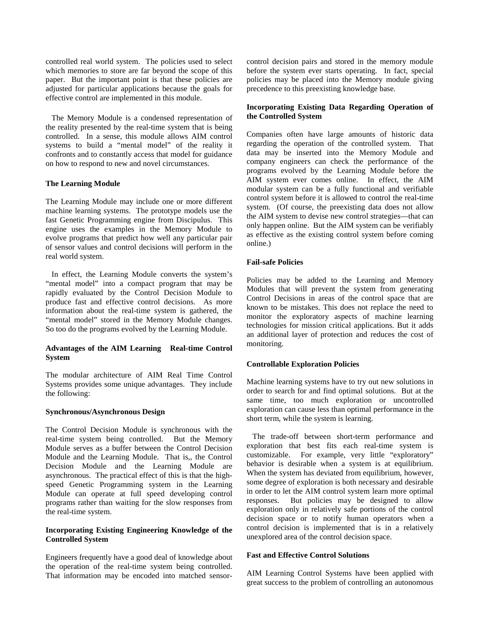controlled real world system. The policies used to select which memories to store are far beyond the scope of this paper. But the important point is that these policies are adjusted for particular applications because the goals for effective control are implemented in this module.

 The Memory Module is a condensed representation of the reality presented by the real-time system that is being controlled. In a sense, this module allows AIM control systems to build a "mental model" of the reality it confronts and to constantly access that model for guidance on how to respond to new and novel circumstances.

#### **The Learning Module**

The Learning Module may include one or more different machine learning systems. The prototype models use the fast Genetic Programming engine from Discipulus. This engine uses the examples in the Memory Module to evolve programs that predict how well any particular pair of sensor values and control decisions will perform in the real world system.

 In effect, the Learning Module converts the system's "mental model" into a compact program that may be rapidly evaluated by the Control Decision Module to produce fast and effective control decisions. As more information about the real-time system is gathered, the "mental model" stored in the Memory Module changes. So too do the programs evolved by the Learning Module.

# Advantages of the AIM Learning<sup>™</sup> Real-time Control **System**

The modular architecture of AIM Real Time Control Systems provides some unique advantages. They include the following:

#### **Synchronous/Asynchronous Design**

The Control Decision Module is synchronous with the real-time system being controlled. But the Memory Module serves as a buffer between the Control Decision Module and the Learning Module. That is,, the Control Decision Module and the Learning Module are asynchronous. The practical effect of this is that the highspeed Genetic Programming system in the Learning Module can operate at full speed developing control programs rather than waiting for the slow responses from the real-time system.

## **Incorporating Existing Engineering Knowledge of the Controlled System**

Engineers frequently have a good deal of knowledge about the operation of the real-time system being controlled. That information may be encoded into matched sensorcontrol decision pairs and stored in the memory module before the system ever starts operating. In fact, special policies may be placed into the Memory module giving precedence to this preexisting knowledge base.

# **Incorporating Existing Data Regarding Operation of the Controlled System**

Companies often have large amounts of historic data regarding the operation of the controlled system. That data may be inserted into the Memory Module and company engineers can check the performance of the programs evolved by the Learning Module before the AIM system ever comes online. In effect, the AIM modular system can be a fully functional and verifiable control system before it is allowed to control the real-time system. (Of course, the preexisting data does not allow the AIM system to devise new control strategies—that can only happen online. But the AIM system can be verifiably as effective as the existing control system before coming online.)

# **Fail-safe Policies**

Policies may be added to the Learning and Memory Modules that will prevent the system from generating Control Decisions in areas of the control space that are known to be mistakes. This does not replace the need to monitor the exploratory aspects of machine learning technologies for mission critical applications. But it adds an additional layer of protection and reduces the cost of monitoring.

#### **Controllable Exploration Policies**

Machine learning systems have to try out new solutions in order to search for and find optimal solutions. But at the same time, too much exploration or uncontrolled exploration can cause less than optimal performance in the short term, while the system is learning.

 The trade-off between short-term performance and exploration that best fits each real-time system is customizable. For example, very little "exploratory" behavior is desirable when a system is at equilibrium. When the system has deviated from equilibrium, however, some degree of exploration is both necessary and desirable in order to let the AIM control system learn more optimal responses. But policies may be designed to allow exploration only in relatively safe portions of the control decision space or to notify human operators when a control decision is implemented that is in a relatively unexplored area of the control decision space.

## **Fast and Effective Control Solutions**

AIM Learning Control Systems have been applied with great success to the problem of controlling an autonomous